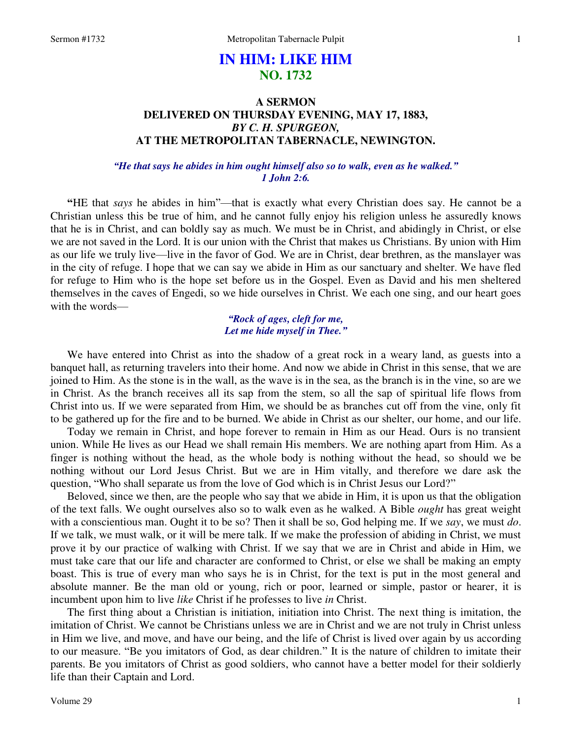# **IN HIM: LIKE HIM NO. 1732**

# **A SERMON DELIVERED ON THURSDAY EVENING, MAY 17, 1883,**  *BY C. H. SPURGEON,*  **AT THE METROPOLITAN TABERNACLE, NEWINGTON.**

# *"He that says he abides in him ought himself also so to walk, even as he walked." 1 John 2:6.*

**"**HE that *says* he abides in him"—that is exactly what every Christian does say. He cannot be a Christian unless this be true of him, and he cannot fully enjoy his religion unless he assuredly knows that he is in Christ, and can boldly say as much. We must be in Christ, and abidingly in Christ, or else we are not saved in the Lord. It is our union with the Christ that makes us Christians. By union with Him as our life we truly live—live in the favor of God. We are in Christ, dear brethren, as the manslayer was in the city of refuge. I hope that we can say we abide in Him as our sanctuary and shelter. We have fled for refuge to Him who is the hope set before us in the Gospel. Even as David and his men sheltered themselves in the caves of Engedi, so we hide ourselves in Christ. We each one sing, and our heart goes with the words—

> *"Rock of ages, cleft for me, Let me hide myself in Thee."*

 We have entered into Christ as into the shadow of a great rock in a weary land, as guests into a banquet hall, as returning travelers into their home. And now we abide in Christ in this sense, that we are joined to Him. As the stone is in the wall, as the wave is in the sea, as the branch is in the vine, so are we in Christ. As the branch receives all its sap from the stem, so all the sap of spiritual life flows from Christ into us. If we were separated from Him, we should be as branches cut off from the vine, only fit to be gathered up for the fire and to be burned. We abide in Christ as our shelter, our home, and our life.

 Today we remain in Christ, and hope forever to remain in Him as our Head. Ours is no transient union. While He lives as our Head we shall remain His members. We are nothing apart from Him. As a finger is nothing without the head, as the whole body is nothing without the head, so should we be nothing without our Lord Jesus Christ. But we are in Him vitally, and therefore we dare ask the question, "Who shall separate us from the love of God which is in Christ Jesus our Lord?"

 Beloved, since we then, are the people who say that we abide in Him, it is upon us that the obligation of the text falls. We ought ourselves also so to walk even as he walked. A Bible *ought* has great weight with a conscientious man. Ought it to be so? Then it shall be so, God helping me. If we *say*, we must *do*. If we talk, we must walk, or it will be mere talk. If we make the profession of abiding in Christ, we must prove it by our practice of walking with Christ. If we say that we are in Christ and abide in Him, we must take care that our life and character are conformed to Christ, or else we shall be making an empty boast. This is true of every man who says he is in Christ, for the text is put in the most general and absolute manner. Be the man old or young, rich or poor, learned or simple, pastor or hearer, it is incumbent upon him to live *like* Christ if he professes to live *in* Christ.

 The first thing about a Christian is initiation, initiation into Christ. The next thing is imitation, the imitation of Christ. We cannot be Christians unless we are in Christ and we are not truly in Christ unless in Him we live, and move, and have our being, and the life of Christ is lived over again by us according to our measure. "Be you imitators of God, as dear children." It is the nature of children to imitate their parents. Be you imitators of Christ as good soldiers, who cannot have a better model for their soldierly life than their Captain and Lord.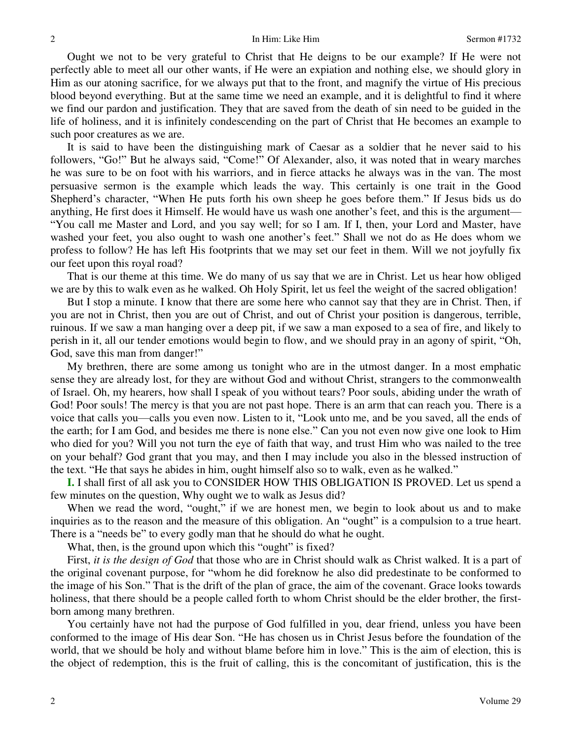Ought we not to be very grateful to Christ that He deigns to be our example? If He were not perfectly able to meet all our other wants, if He were an expiation and nothing else, we should glory in Him as our atoning sacrifice, for we always put that to the front, and magnify the virtue of His precious blood beyond everything. But at the same time we need an example, and it is delightful to find it where we find our pardon and justification. They that are saved from the death of sin need to be guided in the life of holiness, and it is infinitely condescending on the part of Christ that He becomes an example to such poor creatures as we are.

 It is said to have been the distinguishing mark of Caesar as a soldier that he never said to his followers, "Go!" But he always said, "Come!" Of Alexander, also, it was noted that in weary marches he was sure to be on foot with his warriors, and in fierce attacks he always was in the van. The most persuasive sermon is the example which leads the way. This certainly is one trait in the Good Shepherd's character, "When He puts forth his own sheep he goes before them." If Jesus bids us do anything, He first does it Himself. He would have us wash one another's feet, and this is the argument— "You call me Master and Lord, and you say well; for so I am. If I, then, your Lord and Master, have washed your feet, you also ought to wash one another's feet." Shall we not do as He does whom we profess to follow? He has left His footprints that we may set our feet in them. Will we not joyfully fix our feet upon this royal road?

 That is our theme at this time. We do many of us say that we are in Christ. Let us hear how obliged we are by this to walk even as he walked. Oh Holy Spirit, let us feel the weight of the sacred obligation!

 But I stop a minute. I know that there are some here who cannot say that they are in Christ. Then, if you are not in Christ, then you are out of Christ, and out of Christ your position is dangerous, terrible, ruinous. If we saw a man hanging over a deep pit, if we saw a man exposed to a sea of fire, and likely to perish in it, all our tender emotions would begin to flow, and we should pray in an agony of spirit, "Oh, God, save this man from danger!"

 My brethren, there are some among us tonight who are in the utmost danger. In a most emphatic sense they are already lost, for they are without God and without Christ, strangers to the commonwealth of Israel. Oh, my hearers, how shall I speak of you without tears? Poor souls, abiding under the wrath of God! Poor souls! The mercy is that you are not past hope. There is an arm that can reach you. There is a voice that calls you—calls you even now. Listen to it, "Look unto me, and be you saved, all the ends of the earth; for I am God, and besides me there is none else." Can you not even now give one look to Him who died for you? Will you not turn the eye of faith that way, and trust Him who was nailed to the tree on your behalf? God grant that you may, and then I may include you also in the blessed instruction of the text. "He that says he abides in him, ought himself also so to walk, even as he walked."

**I.** I shall first of all ask you to CONSIDER HOW THIS OBLIGATION IS PROVED. Let us spend a few minutes on the question, Why ought we to walk as Jesus did?

When we read the word, "ought," if we are honest men, we begin to look about us and to make inquiries as to the reason and the measure of this obligation. An "ought" is a compulsion to a true heart. There is a "needs be" to every godly man that he should do what he ought.

What, then, is the ground upon which this "ought" is fixed?

 First, *it is the design of God* that those who are in Christ should walk as Christ walked. It is a part of the original covenant purpose, for "whom he did foreknow he also did predestinate to be conformed to the image of his Son." That is the drift of the plan of grace, the aim of the covenant. Grace looks towards holiness, that there should be a people called forth to whom Christ should be the elder brother, the firstborn among many brethren.

 You certainly have not had the purpose of God fulfilled in you, dear friend, unless you have been conformed to the image of His dear Son. "He has chosen us in Christ Jesus before the foundation of the world, that we should be holy and without blame before him in love." This is the aim of election, this is the object of redemption, this is the fruit of calling, this is the concomitant of justification, this is the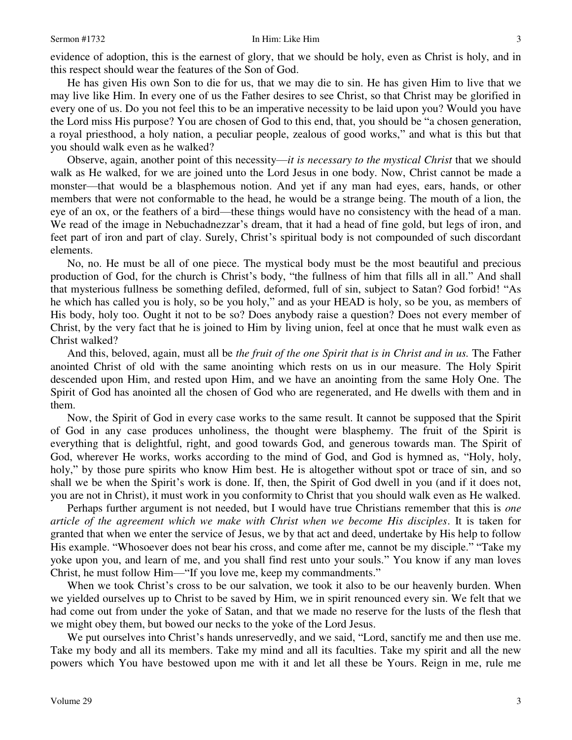evidence of adoption, this is the earnest of glory, that we should be holy, even as Christ is holy, and in this respect should wear the features of the Son of God.

 He has given His own Son to die for us, that we may die to sin. He has given Him to live that we may live like Him. In every one of us the Father desires to see Christ, so that Christ may be glorified in every one of us. Do you not feel this to be an imperative necessity to be laid upon you? Would you have the Lord miss His purpose? You are chosen of God to this end, that, you should be "a chosen generation, a royal priesthood, a holy nation, a peculiar people, zealous of good works," and what is this but that you should walk even as he walked?

 Observe, again, another point of this necessity—*it is necessary to the mystical Christ* that we should walk as He walked, for we are joined unto the Lord Jesus in one body. Now, Christ cannot be made a monster—that would be a blasphemous notion. And yet if any man had eyes, ears, hands, or other members that were not conformable to the head, he would be a strange being. The mouth of a lion, the eye of an ox, or the feathers of a bird—these things would have no consistency with the head of a man. We read of the image in Nebuchadnezzar's dream, that it had a head of fine gold, but legs of iron, and feet part of iron and part of clay. Surely, Christ's spiritual body is not compounded of such discordant elements.

 No, no. He must be all of one piece. The mystical body must be the most beautiful and precious production of God, for the church is Christ's body, "the fullness of him that fills all in all." And shall that mysterious fullness be something defiled, deformed, full of sin, subject to Satan? God forbid! "As he which has called you is holy, so be you holy," and as your HEAD is holy, so be you, as members of His body, holy too. Ought it not to be so? Does anybody raise a question? Does not every member of Christ, by the very fact that he is joined to Him by living union, feel at once that he must walk even as Christ walked?

 And this, beloved, again, must all be *the fruit of the one Spirit that is in Christ and in us.* The Father anointed Christ of old with the same anointing which rests on us in our measure. The Holy Spirit descended upon Him, and rested upon Him, and we have an anointing from the same Holy One. The Spirit of God has anointed all the chosen of God who are regenerated, and He dwells with them and in them.

 Now, the Spirit of God in every case works to the same result. It cannot be supposed that the Spirit of God in any case produces unholiness, the thought were blasphemy. The fruit of the Spirit is everything that is delightful, right, and good towards God, and generous towards man. The Spirit of God, wherever He works, works according to the mind of God, and God is hymned as, "Holy, holy, holy," by those pure spirits who know Him best. He is altogether without spot or trace of sin, and so shall we be when the Spirit's work is done. If, then, the Spirit of God dwell in you (and if it does not, you are not in Christ), it must work in you conformity to Christ that you should walk even as He walked.

 Perhaps further argument is not needed, but I would have true Christians remember that this is *one article of the agreement which we make with Christ when we become His disciples*. It is taken for granted that when we enter the service of Jesus, we by that act and deed, undertake by His help to follow His example. "Whosoever does not bear his cross, and come after me, cannot be my disciple." "Take my yoke upon you, and learn of me, and you shall find rest unto your souls." You know if any man loves Christ, he must follow Him—"If you love me, keep my commandments."

 When we took Christ's cross to be our salvation, we took it also to be our heavenly burden. When we yielded ourselves up to Christ to be saved by Him, we in spirit renounced every sin. We felt that we had come out from under the yoke of Satan, and that we made no reserve for the lusts of the flesh that we might obey them, but bowed our necks to the yoke of the Lord Jesus.

 We put ourselves into Christ's hands unreservedly, and we said, "Lord, sanctify me and then use me. Take my body and all its members. Take my mind and all its faculties. Take my spirit and all the new powers which You have bestowed upon me with it and let all these be Yours. Reign in me, rule me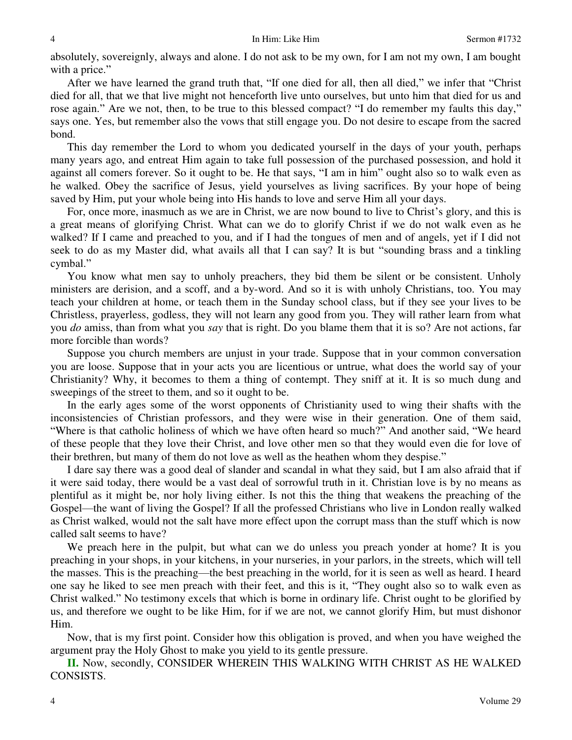absolutely, sovereignly, always and alone. I do not ask to be my own, for I am not my own, I am bought with a price."

After we have learned the grand truth that, "If one died for all, then all died," we infer that "Christ died for all, that we that live might not henceforth live unto ourselves, but unto him that died for us and rose again." Are we not, then, to be true to this blessed compact? "I do remember my faults this day," says one. Yes, but remember also the vows that still engage you. Do not desire to escape from the sacred bond.

 This day remember the Lord to whom you dedicated yourself in the days of your youth, perhaps many years ago, and entreat Him again to take full possession of the purchased possession, and hold it against all comers forever. So it ought to be. He that says, "I am in him" ought also so to walk even as he walked. Obey the sacrifice of Jesus, yield yourselves as living sacrifices. By your hope of being saved by Him, put your whole being into His hands to love and serve Him all your days.

 For, once more, inasmuch as we are in Christ, we are now bound to live to Christ's glory, and this is a great means of glorifying Christ. What can we do to glorify Christ if we do not walk even as he walked? If I came and preached to you, and if I had the tongues of men and of angels, yet if I did not seek to do as my Master did, what avails all that I can say? It is but "sounding brass and a tinkling cymbal."

 You know what men say to unholy preachers, they bid them be silent or be consistent. Unholy ministers are derision, and a scoff, and a by-word. And so it is with unholy Christians, too. You may teach your children at home, or teach them in the Sunday school class, but if they see your lives to be Christless, prayerless, godless, they will not learn any good from you. They will rather learn from what you *do* amiss, than from what you *say* that is right. Do you blame them that it is so? Are not actions, far more forcible than words?

 Suppose you church members are unjust in your trade. Suppose that in your common conversation you are loose. Suppose that in your acts you are licentious or untrue, what does the world say of your Christianity? Why, it becomes to them a thing of contempt. They sniff at it. It is so much dung and sweepings of the street to them, and so it ought to be.

 In the early ages some of the worst opponents of Christianity used to wing their shafts with the inconsistencies of Christian professors, and they were wise in their generation. One of them said, "Where is that catholic holiness of which we have often heard so much?" And another said, "We heard of these people that they love their Christ, and love other men so that they would even die for love of their brethren, but many of them do not love as well as the heathen whom they despise."

 I dare say there was a good deal of slander and scandal in what they said, but I am also afraid that if it were said today, there would be a vast deal of sorrowful truth in it. Christian love is by no means as plentiful as it might be, nor holy living either. Is not this the thing that weakens the preaching of the Gospel—the want of living the Gospel? If all the professed Christians who live in London really walked as Christ walked, would not the salt have more effect upon the corrupt mass than the stuff which is now called salt seems to have?

 We preach here in the pulpit, but what can we do unless you preach yonder at home? It is you preaching in your shops, in your kitchens, in your nurseries, in your parlors, in the streets, which will tell the masses. This is the preaching—the best preaching in the world, for it is seen as well as heard. I heard one say he liked to see men preach with their feet, and this is it, "They ought also so to walk even as Christ walked." No testimony excels that which is borne in ordinary life. Christ ought to be glorified by us, and therefore we ought to be like Him, for if we are not, we cannot glorify Him, but must dishonor Him.

 Now, that is my first point. Consider how this obligation is proved, and when you have weighed the argument pray the Holy Ghost to make you yield to its gentle pressure.

**II.** Now, secondly, CONSIDER WHEREIN THIS WALKING WITH CHRIST AS HE WALKED CONSISTS.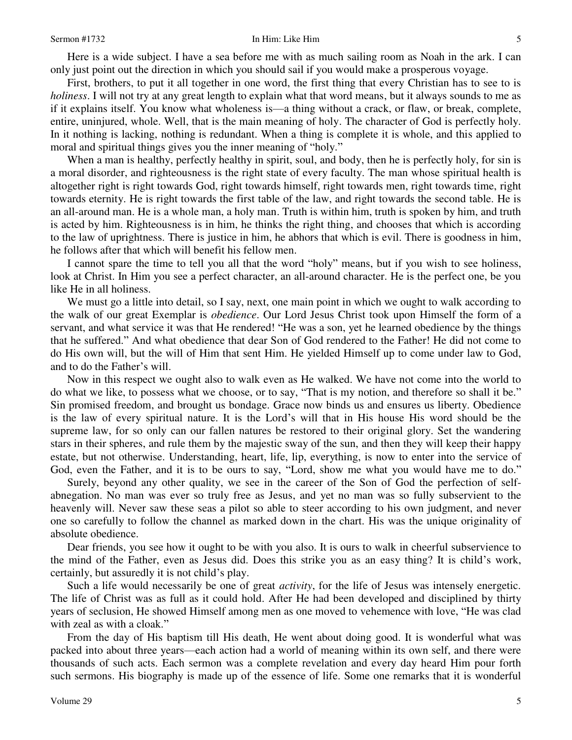Here is a wide subject. I have a sea before me with as much sailing room as Noah in the ark. I can only just point out the direction in which you should sail if you would make a prosperous voyage.

 First, brothers, to put it all together in one word, the first thing that every Christian has to see to is *holiness*. I will not try at any great length to explain what that word means, but it always sounds to me as if it explains itself. You know what wholeness is—a thing without a crack, or flaw, or break, complete, entire, uninjured, whole. Well, that is the main meaning of holy. The character of God is perfectly holy. In it nothing is lacking, nothing is redundant. When a thing is complete it is whole, and this applied to moral and spiritual things gives you the inner meaning of "holy."

 When a man is healthy, perfectly healthy in spirit, soul, and body, then he is perfectly holy, for sin is a moral disorder, and righteousness is the right state of every faculty. The man whose spiritual health is altogether right is right towards God, right towards himself, right towards men, right towards time, right towards eternity. He is right towards the first table of the law, and right towards the second table. He is an all-around man. He is a whole man, a holy man. Truth is within him, truth is spoken by him, and truth is acted by him. Righteousness is in him, he thinks the right thing, and chooses that which is according to the law of uprightness. There is justice in him, he abhors that which is evil. There is goodness in him, he follows after that which will benefit his fellow men.

 I cannot spare the time to tell you all that the word "holy" means, but if you wish to see holiness, look at Christ. In Him you see a perfect character, an all-around character. He is the perfect one, be you like He in all holiness.

 We must go a little into detail, so I say, next, one main point in which we ought to walk according to the walk of our great Exemplar is *obedience*. Our Lord Jesus Christ took upon Himself the form of a servant, and what service it was that He rendered! "He was a son, yet he learned obedience by the things that he suffered." And what obedience that dear Son of God rendered to the Father! He did not come to do His own will, but the will of Him that sent Him. He yielded Himself up to come under law to God, and to do the Father's will.

 Now in this respect we ought also to walk even as He walked. We have not come into the world to do what we like, to possess what we choose, or to say, "That is my notion, and therefore so shall it be." Sin promised freedom, and brought us bondage. Grace now binds us and ensures us liberty. Obedience is the law of every spiritual nature. It is the Lord's will that in His house His word should be the supreme law, for so only can our fallen natures be restored to their original glory. Set the wandering stars in their spheres, and rule them by the majestic sway of the sun, and then they will keep their happy estate, but not otherwise. Understanding, heart, life, lip, everything, is now to enter into the service of God, even the Father, and it is to be ours to say, "Lord, show me what you would have me to do."

 Surely, beyond any other quality, we see in the career of the Son of God the perfection of selfabnegation. No man was ever so truly free as Jesus, and yet no man was so fully subservient to the heavenly will. Never saw these seas a pilot so able to steer according to his own judgment, and never one so carefully to follow the channel as marked down in the chart. His was the unique originality of absolute obedience.

 Dear friends, you see how it ought to be with you also. It is ours to walk in cheerful subservience to the mind of the Father, even as Jesus did. Does this strike you as an easy thing? It is child's work, certainly, but assuredly it is not child's play.

 Such a life would necessarily be one of great *activity*, for the life of Jesus was intensely energetic. The life of Christ was as full as it could hold. After He had been developed and disciplined by thirty years of seclusion, He showed Himself among men as one moved to vehemence with love, "He was clad with zeal as with a cloak."

 From the day of His baptism till His death, He went about doing good. It is wonderful what was packed into about three years—each action had a world of meaning within its own self, and there were thousands of such acts. Each sermon was a complete revelation and every day heard Him pour forth such sermons. His biography is made up of the essence of life. Some one remarks that it is wonderful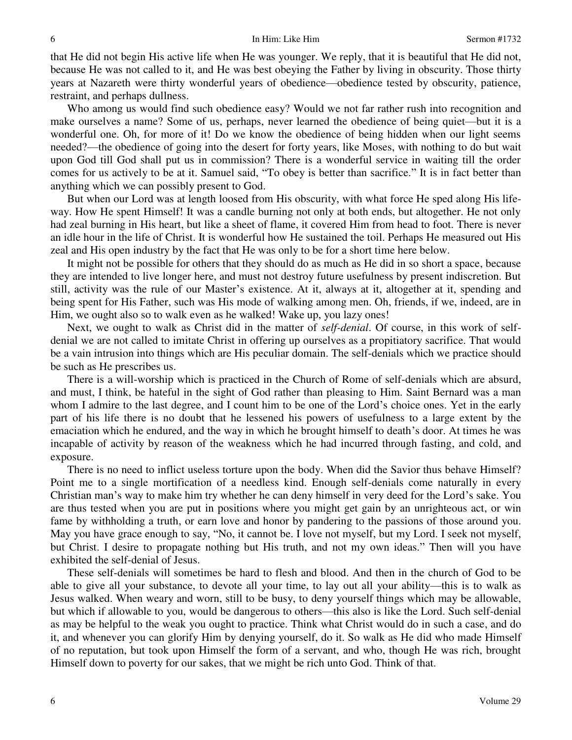that He did not begin His active life when He was younger. We reply, that it is beautiful that He did not, because He was not called to it, and He was best obeying the Father by living in obscurity. Those thirty years at Nazareth were thirty wonderful years of obedience—obedience tested by obscurity, patience, restraint, and perhaps dullness.

Who among us would find such obedience easy? Would we not far rather rush into recognition and make ourselves a name? Some of us, perhaps, never learned the obedience of being quiet—but it is a wonderful one. Oh, for more of it! Do we know the obedience of being hidden when our light seems needed?—the obedience of going into the desert for forty years, like Moses, with nothing to do but wait upon God till God shall put us in commission? There is a wonderful service in waiting till the order comes for us actively to be at it. Samuel said, "To obey is better than sacrifice." It is in fact better than anything which we can possibly present to God.

 But when our Lord was at length loosed from His obscurity, with what force He sped along His lifeway. How He spent Himself! It was a candle burning not only at both ends, but altogether. He not only had zeal burning in His heart, but like a sheet of flame, it covered Him from head to foot. There is never an idle hour in the life of Christ. It is wonderful how He sustained the toil. Perhaps He measured out His zeal and His open industry by the fact that He was only to be for a short time here below.

 It might not be possible for others that they should do as much as He did in so short a space, because they are intended to live longer here, and must not destroy future usefulness by present indiscretion. But still, activity was the rule of our Master's existence. At it, always at it, altogether at it, spending and being spent for His Father, such was His mode of walking among men. Oh, friends, if we, indeed, are in Him, we ought also so to walk even as he walked! Wake up, you lazy ones!

 Next, we ought to walk as Christ did in the matter of *self-denial*. Of course, in this work of selfdenial we are not called to imitate Christ in offering up ourselves as a propitiatory sacrifice. That would be a vain intrusion into things which are His peculiar domain. The self-denials which we practice should be such as He prescribes us.

 There is a will-worship which is practiced in the Church of Rome of self-denials which are absurd, and must, I think, be hateful in the sight of God rather than pleasing to Him. Saint Bernard was a man whom I admire to the last degree, and I count him to be one of the Lord's choice ones. Yet in the early part of his life there is no doubt that he lessened his powers of usefulness to a large extent by the emaciation which he endured, and the way in which he brought himself to death's door. At times he was incapable of activity by reason of the weakness which he had incurred through fasting, and cold, and exposure.

 There is no need to inflict useless torture upon the body. When did the Savior thus behave Himself? Point me to a single mortification of a needless kind. Enough self-denials come naturally in every Christian man's way to make him try whether he can deny himself in very deed for the Lord's sake. You are thus tested when you are put in positions where you might get gain by an unrighteous act, or win fame by withholding a truth, or earn love and honor by pandering to the passions of those around you. May you have grace enough to say, "No, it cannot be. I love not myself, but my Lord. I seek not myself, but Christ. I desire to propagate nothing but His truth, and not my own ideas." Then will you have exhibited the self-denial of Jesus.

 These self-denials will sometimes be hard to flesh and blood. And then in the church of God to be able to give all your substance, to devote all your time, to lay out all your ability—this is to walk as Jesus walked. When weary and worn, still to be busy, to deny yourself things which may be allowable, but which if allowable to you, would be dangerous to others—this also is like the Lord. Such self-denial as may be helpful to the weak you ought to practice. Think what Christ would do in such a case, and do it, and whenever you can glorify Him by denying yourself, do it. So walk as He did who made Himself of no reputation, but took upon Himself the form of a servant, and who, though He was rich, brought Himself down to poverty for our sakes, that we might be rich unto God. Think of that.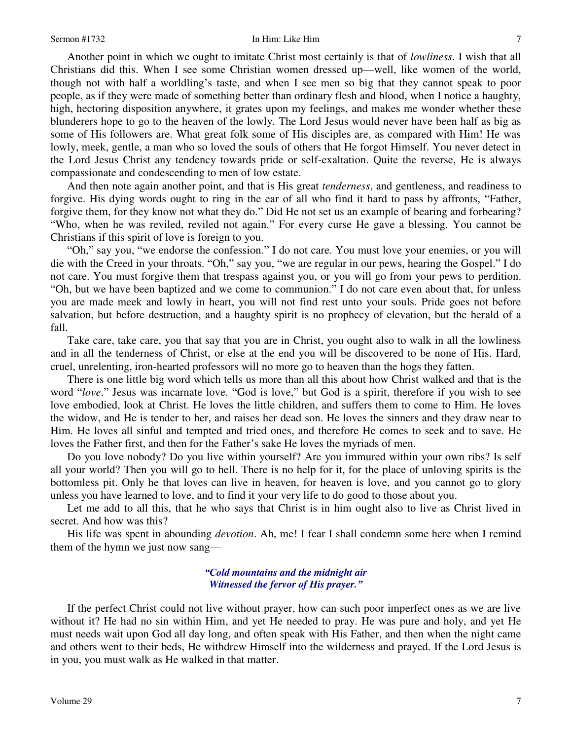Another point in which we ought to imitate Christ most certainly is that of *lowliness*. I wish that all Christians did this. When I see some Christian women dressed up—well, like women of the world, though not with half a worldling's taste, and when I see men so big that they cannot speak to poor people, as if they were made of something better than ordinary flesh and blood, when I notice a haughty, high, hectoring disposition anywhere, it grates upon my feelings, and makes me wonder whether these blunderers hope to go to the heaven of the lowly. The Lord Jesus would never have been half as big as some of His followers are. What great folk some of His disciples are, as compared with Him! He was lowly, meek, gentle, a man who so loved the souls of others that He forgot Himself. You never detect in the Lord Jesus Christ any tendency towards pride or self-exaltation. Quite the reverse, He is always compassionate and condescending to men of low estate.

 And then note again another point, and that is His great *tenderness*, and gentleness, and readiness to forgive. His dying words ought to ring in the ear of all who find it hard to pass by affronts, "Father, forgive them, for they know not what they do." Did He not set us an example of bearing and forbearing? "Who, when he was reviled, reviled not again." For every curse He gave a blessing. You cannot be Christians if this spirit of love is foreign to you.

"Oh," say you, "we endorse the confession." I do not care. You must love your enemies, or you will die with the Creed in your throats. "Oh," say you, "we are regular in our pews, hearing the Gospel." I do not care. You must forgive them that trespass against you, or you will go from your pews to perdition. "Oh, but we have been baptized and we come to communion." I do not care even about that, for unless you are made meek and lowly in heart, you will not find rest unto your souls. Pride goes not before salvation, but before destruction, and a haughty spirit is no prophecy of elevation, but the herald of a fall.

 Take care, take care, you that say that you are in Christ, you ought also to walk in all the lowliness and in all the tenderness of Christ, or else at the end you will be discovered to be none of His. Hard, cruel, unrelenting, iron-hearted professors will no more go to heaven than the hogs they fatten.

 There is one little big word which tells us more than all this about how Christ walked and that is the word "*love*." Jesus was incarnate love. "God is love," but God is a spirit, therefore if you wish to see love embodied, look at Christ. He loves the little children, and suffers them to come to Him. He loves the widow, and He is tender to her, and raises her dead son. He loves the sinners and they draw near to Him. He loves all sinful and tempted and tried ones, and therefore He comes to seek and to save. He loves the Father first, and then for the Father's sake He loves the myriads of men.

 Do you love nobody? Do you live within yourself? Are you immured within your own ribs? Is self all your world? Then you will go to hell. There is no help for it, for the place of unloving spirits is the bottomless pit. Only he that loves can live in heaven, for heaven is love, and you cannot go to glory unless you have learned to love, and to find it your very life to do good to those about you.

 Let me add to all this, that he who says that Christ is in him ought also to live as Christ lived in secret. And how was this?

 His life was spent in abounding *devotion*. Ah, me! I fear I shall condemn some here when I remind them of the hymn we just now sang—

## *"Cold mountains and the midnight air Witnessed the fervor of His prayer."*

 If the perfect Christ could not live without prayer, how can such poor imperfect ones as we are live without it? He had no sin within Him, and yet He needed to pray. He was pure and holy, and yet He must needs wait upon God all day long, and often speak with His Father, and then when the night came and others went to their beds, He withdrew Himself into the wilderness and prayed. If the Lord Jesus is in you, you must walk as He walked in that matter.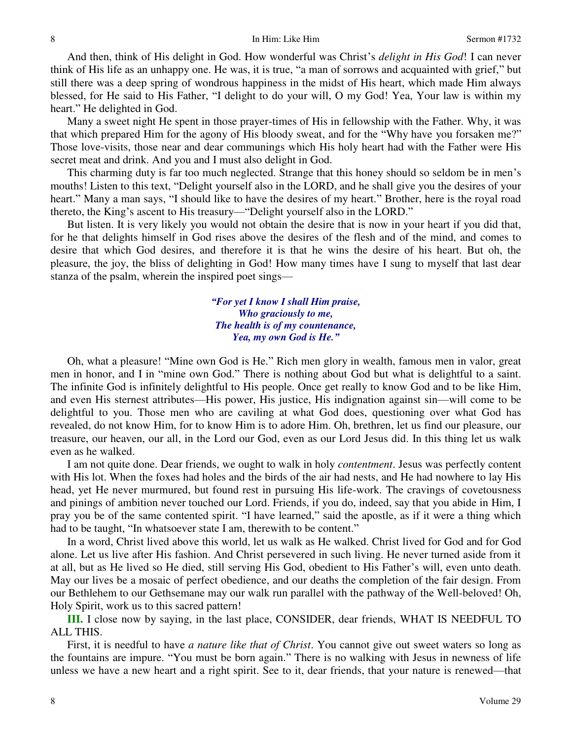And then, think of His delight in God. How wonderful was Christ's *delight in His God*! I can never think of His life as an unhappy one. He was, it is true, "a man of sorrows and acquainted with grief," but still there was a deep spring of wondrous happiness in the midst of His heart, which made Him always blessed, for He said to His Father, "I delight to do your will, O my God! Yea, Your law is within my heart." He delighted in God.

 Many a sweet night He spent in those prayer-times of His in fellowship with the Father. Why, it was that which prepared Him for the agony of His bloody sweat, and for the "Why have you forsaken me?" Those love-visits, those near and dear communings which His holy heart had with the Father were His secret meat and drink. And you and I must also delight in God.

 This charming duty is far too much neglected. Strange that this honey should so seldom be in men's mouths! Listen to this text, "Delight yourself also in the LORD, and he shall give you the desires of your heart." Many a man says, "I should like to have the desires of my heart." Brother, here is the royal road thereto, the King's ascent to His treasury—"Delight yourself also in the LORD."

 But listen. It is very likely you would not obtain the desire that is now in your heart if you did that, for he that delights himself in God rises above the desires of the flesh and of the mind, and comes to desire that which God desires, and therefore it is that he wins the desire of his heart. But oh, the pleasure, the joy, the bliss of delighting in God! How many times have I sung to myself that last dear stanza of the psalm, wherein the inspired poet sings—

> *"For yet I know I shall Him praise, Who graciously to me, The health is of my countenance, Yea, my own God is He."*

 Oh, what a pleasure! "Mine own God is He." Rich men glory in wealth, famous men in valor, great men in honor, and I in "mine own God." There is nothing about God but what is delightful to a saint. The infinite God is infinitely delightful to His people. Once get really to know God and to be like Him, and even His sternest attributes—His power, His justice, His indignation against sin—will come to be delightful to you. Those men who are caviling at what God does, questioning over what God has revealed, do not know Him, for to know Him is to adore Him. Oh, brethren, let us find our pleasure, our treasure, our heaven, our all, in the Lord our God, even as our Lord Jesus did. In this thing let us walk even as he walked.

 I am not quite done. Dear friends, we ought to walk in holy *contentment*. Jesus was perfectly content with His lot. When the foxes had holes and the birds of the air had nests, and He had nowhere to lay His head, yet He never murmured, but found rest in pursuing His life-work. The cravings of covetousness and pinings of ambition never touched our Lord. Friends, if you do, indeed, say that you abide in Him, I pray you be of the same contented spirit. "I have learned," said the apostle, as if it were a thing which had to be taught, "In whatsoever state I am, therewith to be content."

 In a word, Christ lived above this world, let us walk as He walked. Christ lived for God and for God alone. Let us live after His fashion. And Christ persevered in such living. He never turned aside from it at all, but as He lived so He died, still serving His God, obedient to His Father's will, even unto death. May our lives be a mosaic of perfect obedience, and our deaths the completion of the fair design. From our Bethlehem to our Gethsemane may our walk run parallel with the pathway of the Well-beloved! Oh, Holy Spirit, work us to this sacred pattern!

**III.** I close now by saying, in the last place, CONSIDER, dear friends, WHAT IS NEEDFUL TO ALL THIS.

 First, it is needful to have *a nature like that of Christ*. You cannot give out sweet waters so long as the fountains are impure. "You must be born again." There is no walking with Jesus in newness of life unless we have a new heart and a right spirit. See to it, dear friends, that your nature is renewed—that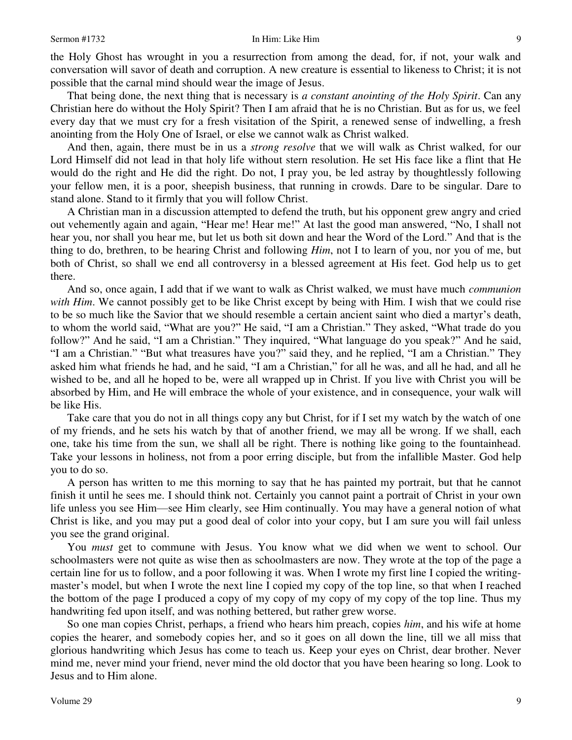### Sermon #1732 **In Him: Like Him 9**

the Holy Ghost has wrought in you a resurrection from among the dead, for, if not, your walk and conversation will savor of death and corruption. A new creature is essential to likeness to Christ; it is not possible that the carnal mind should wear the image of Jesus.

 That being done, the next thing that is necessary is *a constant anointing of the Holy Spirit*. Can any Christian here do without the Holy Spirit? Then I am afraid that he is no Christian. But as for us, we feel every day that we must cry for a fresh visitation of the Spirit, a renewed sense of indwelling, a fresh anointing from the Holy One of Israel, or else we cannot walk as Christ walked.

 And then, again, there must be in us a *strong resolve* that we will walk as Christ walked, for our Lord Himself did not lead in that holy life without stern resolution. He set His face like a flint that He would do the right and He did the right. Do not, I pray you, be led astray by thoughtlessly following your fellow men, it is a poor, sheepish business, that running in crowds. Dare to be singular. Dare to stand alone. Stand to it firmly that you will follow Christ.

 A Christian man in a discussion attempted to defend the truth, but his opponent grew angry and cried out vehemently again and again, "Hear me! Hear me!" At last the good man answered, "No, I shall not hear you, nor shall you hear me, but let us both sit down and hear the Word of the Lord." And that is the thing to do, brethren, to be hearing Christ and following *Him*, not I to learn of you, nor you of me, but both of Christ, so shall we end all controversy in a blessed agreement at His feet. God help us to get there.

 And so, once again, I add that if we want to walk as Christ walked, we must have much *communion with Him*. We cannot possibly get to be like Christ except by being with Him. I wish that we could rise to be so much like the Savior that we should resemble a certain ancient saint who died a martyr's death, to whom the world said, "What are you?" He said, "I am a Christian." They asked, "What trade do you follow?" And he said, "I am a Christian." They inquired, "What language do you speak?" And he said, "I am a Christian." "But what treasures have you?" said they, and he replied, "I am a Christian." They asked him what friends he had, and he said, "I am a Christian," for all he was, and all he had, and all he wished to be, and all he hoped to be, were all wrapped up in Christ. If you live with Christ you will be absorbed by Him, and He will embrace the whole of your existence, and in consequence, your walk will be like His.

 Take care that you do not in all things copy any but Christ, for if I set my watch by the watch of one of my friends, and he sets his watch by that of another friend, we may all be wrong. If we shall, each one, take his time from the sun, we shall all be right. There is nothing like going to the fountainhead. Take your lessons in holiness, not from a poor erring disciple, but from the infallible Master. God help you to do so.

 A person has written to me this morning to say that he has painted my portrait, but that he cannot finish it until he sees me. I should think not. Certainly you cannot paint a portrait of Christ in your own life unless you see Him—see Him clearly, see Him continually. You may have a general notion of what Christ is like, and you may put a good deal of color into your copy, but I am sure you will fail unless you see the grand original.

 You *must* get to commune with Jesus. You know what we did when we went to school. Our schoolmasters were not quite as wise then as schoolmasters are now. They wrote at the top of the page a certain line for us to follow, and a poor following it was. When I wrote my first line I copied the writingmaster's model, but when I wrote the next line I copied my copy of the top line, so that when I reached the bottom of the page I produced a copy of my copy of my copy of my copy of the top line. Thus my handwriting fed upon itself, and was nothing bettered, but rather grew worse.

 So one man copies Christ, perhaps, a friend who hears him preach, copies *him*, and his wife at home copies the hearer, and somebody copies her, and so it goes on all down the line, till we all miss that glorious handwriting which Jesus has come to teach us. Keep your eyes on Christ, dear brother. Never mind me, never mind your friend, never mind the old doctor that you have been hearing so long. Look to Jesus and to Him alone.